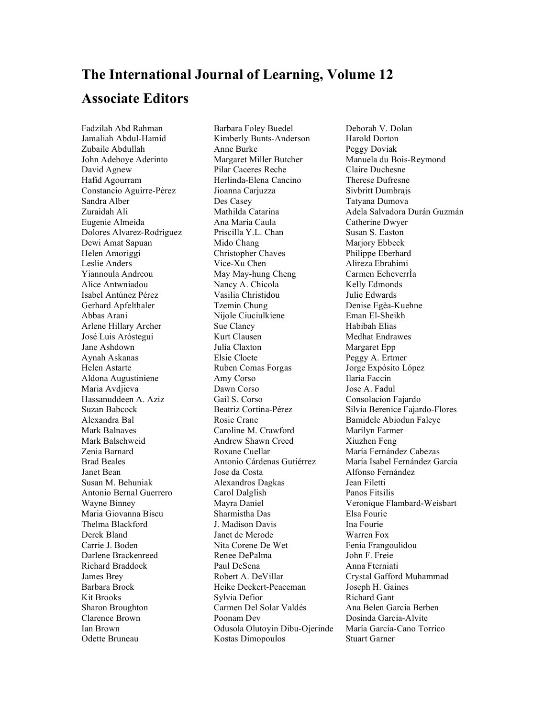## **The International Journal of Learning, Volume 12 Associate Editors**

Fadzilah Abd Rahman Jamaliah Abdul-Hamid Zubaile Abdullah John Adeboye Aderinto David Agnew Hafid Agourram Constancio Aguirre-Pèrez Sandra Alber Zuraidah Ali Eugenie Almeida Dolores Alvarez-Rodriguez Dewi Amat Sapuan Helen Amoriggi Leslie Anders Yiannoula Andreou Alice Antwniadou Isabel Antúnez Pérez Gerhard Apfelthaler Abbas Arani Arlene Hillary Archer José Luis Aróstegui Jane Ashdown Aynah Askanas Helen Astarte Aldona Augustiniene Maria Avdjieva Hassanuddeen A. Aziz Suzan Babcock Alexandra Bal Mark Balnaves Mark Balschweid Zenia Barnard Brad Beales Janet Bean Susan M. Behuniak Antonio Bernal Guerrero Wayne Binney Maria Giovanna Biscu Thelma Blackford Derek Bland Carrie J. Boden Darlene Brackenreed Richard Braddock James Brey Barbara Brock Kit Brooks Sharon Broughton Clarence Brown Ian Brown Odette Bruneau

Barbara Foley Buedel Kimberly Bunts-Anderson Anne Burke Margaret Miller Butcher Pilar Caceres Reche Herlinda-Elena Cancino Jioanna Carjuzza Des Casey Mathilda Catarina Ana María Caula Priscilla Y.L. Chan Mido Chang Christopher Chaves Vice-Xu Chen May May-hung Cheng Nancy A. Chicola Vasilia Christidou Tzemin Chung Nijole Ciuciulkiene Sue Clancy Kurt Clausen Julia Claxton Elsie Cloete Ruben Comas Forgas Amy Corso Dawn Corso Gail S. Corso Beatriz Cortina-Pérez Rosie Crane Caroline M. Crawford Andrew Shawn Creed Roxane Cuellar Antonio Cárdenas Gutiérrez Jose da Costa Alexandros Dagkas Carol Dalglish Mayra Daniel Sharmistha Das J. Madison Davis Janet de Merode Nita Corene De Wet Renee DePalma Paul DeSena Robert A. DeVillar Heike Deckert-Peaceman Sylvia Defior Carmen Del Solar Valdés Poonam Dev Odusola Olutoyin Dibu-Ojerinde Kostas Dimopoulos

Deborah V. Dolan Harold Dorton Peggy Doviak Manuela du Bois-Reymond Claire Duchesne Therese Dufresne Sivbritt Dumbrajs Tatyana Dumova Adela Salvadora Durán Guzmán Catherine Dwyer Susan S. Easton Marjory Ebbeck Philippe Eberhard Alireza Ebrahimi Carmen EcheverrÌa Kelly Edmonds Julie Edwards Denise Egèa-Kuehne Eman El-Sheikh Habibah Elias Medhat Endrawes Margaret Epp Peggy A. Ertmer Jorge Expósito López Ilaria Faccin Jose A. Fadul Consolacion Fajardo Silvia Berenice Fajardo-Flores Bamidele Abiodun Faleye Marilyn Farmer Xiuzhen Feng María Fernández Cabezas María Isabel Fernández García Alfonso Fernández Jean Filetti Panos Fitsilis Veronique Flambard-Weisbart Elsa Fourie Ina Fourie Warren Fox Fenia Frangoulidou John F. Freie Anna Fterniati Crystal Gafford Muhammad Joseph H. Gaines Richard Gant Ana Belen Garcia Berben Dosinda Garcia-Alvite María García-Cano Torrico Stuart Garner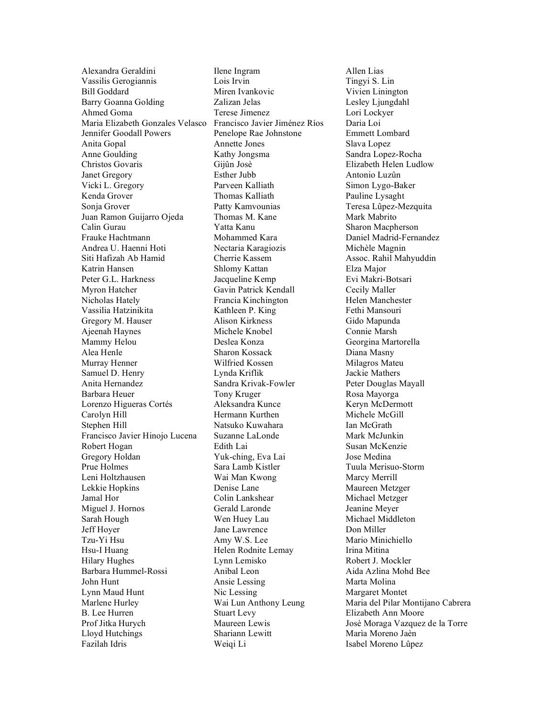Alexandra Geraldini Vassilis Gerogiannis Bill Goddard Barry Goanna Golding Ahmed Goma Maria Elizabeth Gonzales Velasco Jennifer Goodall Powers Anita Gopal Anne Goulding Christos Govaris Janet Gregory Vicki L. Gregory Kenda Grover Sonja Grover Juan Ramon Guijarro Ojeda Calin Gurau Frauke Hachtmann Andrea U. Haenni Hoti Siti Hafizah Ab Hamid Katrin Hansen Peter G.L. Harkness Myron Hatcher Nicholas Hately Vassilia Hatzinikita Gregory M. Hauser Ajeenah Haynes Mammy Helou Alea Henle Murray Henner Samuel D. Henry Anita Hernandez Barbara Heuer Lorenzo Higueras Cortés Carolyn Hill Stephen Hill Francisco Javier Hinojo Lucena Robert Hogan Gregory Holdan Prue Holmes Leni Holtzhausen Lekkie Hopkins Jamal Hor Miguel J. Hornos Sarah Hough Jeff Hoyer Tzu-Yi Hsu Hsu-I Huang Hilary Hughes Barbara Hummel-Rossi John Hunt Lynn Maud Hunt Marlene Hurley B. Lee Hurren Prof Jitka Hurych Lloyd Hutchings Fazilah Idris

Ilene Ingram Lois Irvin Miren Ivankovic Zalizan Jelas Terese Jimenez Francisco Javier Jiménez Ríos Penelope Rae Johnstone Annette Jones Kathy Jongsma Gijûn Josè Esther Jubb Parveen Kalliath Thomas Kalliath Patty Kamvounias Thomas M. Kane Yatta Kanu Mohammed Kara Nectaria Karagiozis Cherrie Kassem Shlomy Kattan Jacqueline Kemp Gavin Patrick Kendall Francia Kinchington Kathleen P. King Alison Kirkness Michele Knobel Deslea Konza Sharon Kossack Wilfried Kossen Lynda Kriflik Sandra Krivak-Fowler Tony Kruger Aleksandra Kunce Hermann Kurthen Natsuko Kuwahara Suzanne LaLonde Edith Lai Yuk-ching, Eva Lai Sara Lamb Kistler Wai Man Kwong Denise Lane Colin Lankshear Gerald Laronde Wen Huey Lau Jane Lawrence Amy W.S. Lee Helen Rodnite Lemay Lynn Lemisko Anibal Leon Ansie Lessing Nic Lessing Wai Lun Anthony Leung Stuart Levy Maureen Lewis Shariann Lewitt Weiqi Li

Allen Lias Tingyi S. Lin Vivien Linington Lesley Ljungdahl Lori Lockyer Daria Loi Emmett Lombard Slava Lopez Sandra Lopez-Rocha Elizabeth Helen Ludlow Antonio Luzûn Simon Lygo-Baker Pauline Lysaght Teresa Lûpez-Mezquita Mark Mabrito Sharon Macpherson Daniel Madrid-Fernandez Michèle Magnin Assoc. Rahil Mahyuddin Elza Major Evi Makri-Botsari Cecily Maller Helen Manchester Fethi Mansouri Gido Mapunda Connie Marsh Georgina Martorella Diana Masny Milagros Mateu Jackie Mathers Peter Douglas Mayall Rosa Mayorga Keryn McDermott Michele McGill Ian McGrath Mark McJunkin Susan McKenzie Jose Medina Tuula Merisuo-Storm Marcy Merrill Maureen Metzger Michael Metzger Jeanine Meyer Michael Middleton Don Miller Mario Minichiello Irina Mitina Robert J. Mockler Aida Azlina Mohd Bee Marta Molina Margaret Montet Maria del Pilar Montijano Cabrera Elizabeth Ann Moore Josè Moraga Vazquez de la Torre Marìa Moreno Jaèn Isabel Moreno Lûpez